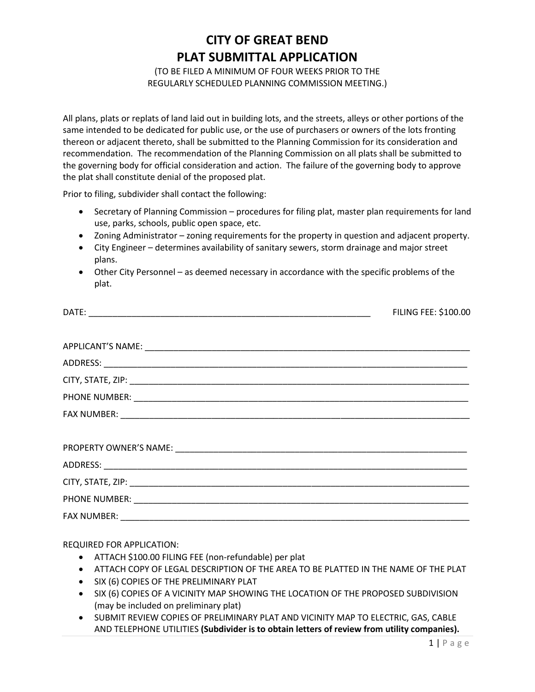## **CITY OF GREAT BEND PLAT SUBMITTAL APPLICATION**

(TO BE FILED A MINIMUM OF FOUR WEEKS PRIOR TO THE REGULARLY SCHEDULED PLANNING COMMISSION MEETING.)

All plans, plats or replats of land laid out in building lots, and the streets, alleys or other portions of the same intended to be dedicated for public use, or the use of purchasers or owners of the lots fronting thereon or adjacent thereto, shall be submitted to the Planning Commission for its consideration and recommendation. The recommendation of the Planning Commission on all plats shall be submitted to the governing body for official consideration and action. The failure of the governing body to approve the plat shall constitute denial of the proposed plat.

Prior to filing, subdivider shall contact the following:

- Secretary of Planning Commission procedures for filing plat, master plan requirements for land use, parks, schools, public open space, etc.
- Zoning Administrator zoning requirements for the property in question and adjacent property.
- City Engineer determines availability of sanitary sewers, storm drainage and major street plans.
- Other City Personnel as deemed necessary in accordance with the specific problems of the plat.

| <b>FILING FEE: \$100.00</b> |
|-----------------------------|
|                             |
|                             |
|                             |
|                             |
|                             |
|                             |
|                             |
|                             |
|                             |
|                             |
|                             |
|                             |

REQUIRED FOR APPLICATION:

- ATTACH \$100.00 FILING FEE (non-refundable) per plat
- ATTACH COPY OF LEGAL DESCRIPTION OF THE AREA TO BE PLATTED IN THE NAME OF THE PLAT
- SIX (6) COPIES OF THE PRELIMINARY PLAT
- **SIX (6) COPIES OF A VICINITY MAP SHOWING THE LOCATION OF THE PROPOSED SUBDIVISION** (may be included on preliminary plat)
- SUBMIT REVIEW COPIES OF PRELIMINARY PLAT AND VICINITY MAP TO ELECTRIC, GAS, CABLE AND TELEPHONE UTILITIES **(Subdivider is to obtain letters of review from utility companies).**